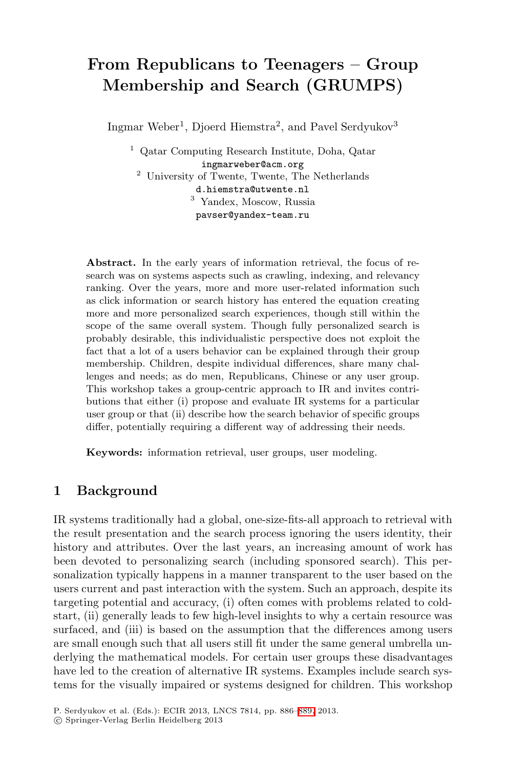# **From Republicans to Teenagers – Group Membership and Search (GRUMPS)**

Ingmar Weber<sup>1</sup>, Djoerd Hiemstra<sup>2</sup>, and Pavel Serdyukov<sup>3</sup>

<sup>1</sup> Qatar Computing Research Institute, Doha, Qatar ingmarweber@acm.org <sup>2</sup> University of Twente, Twente, The Netherlands d.hiemstra@utwente.nl <sup>3</sup> Yandex, Moscow, Russia pavser@yandex-team.ru

**Abstract.** In the early years of information retrieval, the focus of research was on systems aspects such as crawling, indexing, and relevancy ranking. Over the years, more and more user-related information such as click information or search history has entered the equation creating more and more personalized search experiences, though still within the scope of the same overall system. Though fully personalized search is probably desirable, this individualistic perspective does not exploit the fact that a lot of a users behavior can be explained through their group membership. Children, despite individual differences, share many challenges and needs; as do men, Republicans, Chinese or any user group. This workshop takes a group-centric approach to IR and invites contributions that either (i) propose and evaluate IR systems for a particular user group or that (ii) describe how the search behavior of specific groups differ, potentially requiring a different way of addressing their needs.

**Keywords:** information retrieval, user groups, user modeling.

### **1 Background**

IR systems traditionally had a global, one-size-fits-all approach to retrieval with the result presentation and the search process ignoring the users identity, their history and attributes. Over the last years, an increasing amount of work has been devoted to personalizing search (including sponsored search). This personalization typically happens in a manner transparent to the user based on the users current and past interaction with the system. Such an approach, despite its targeting potential and accura[cy, \(](#page-3-0)i) often comes with problems related to coldstart, (ii) generally leads to few high-level insights to why a certain resource was surfaced, and (iii) is based on the assumption that the differences among users are small enough such that all users still fit under the same general umbrella underlying the mathematical models. For certain user groups these disadvantages have led to the creation of alternative IR systems. Examples include search systems for the visually impaired or systems designed for children. This workshop

P. Serdyukov et al. (Eds.): ECIR 2013, LNCS 7814, pp. 886–889, 2013.

<sup>-</sup>c Springer-Verlag Berlin Heidelberg 2013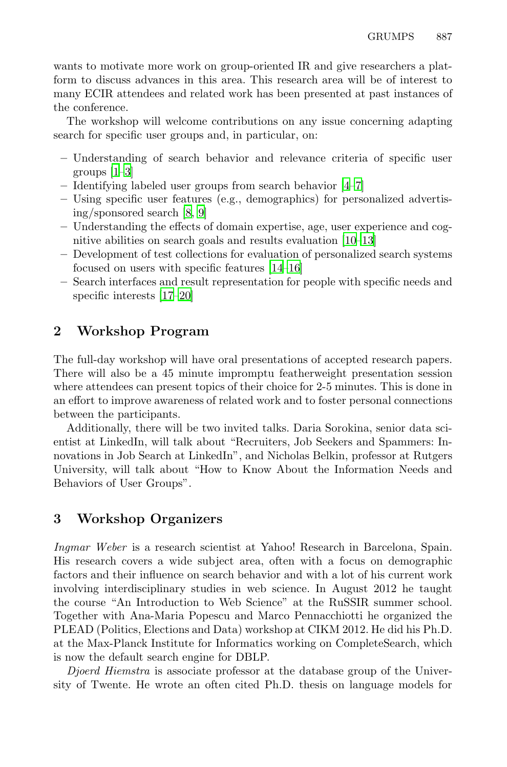wants to motivate more work on group-oriented IR and give researchers a platform to discuss advances in this area. [Th](#page-2-0)[is](#page-2-1) research area will be of interest to many ECIR attendees and related work has been presented at past instances of the conf[er](#page-2-2)[en](#page-2-3)ce.

The workshop will welcome contributions on any issue concerning adapting search for specific user groups and, in p[art](#page-2-4)i[cul](#page-3-1)ar, on:

- **–** Understanding of se[arc](#page-3-2)[h b](#page-3-3)ehavior and relevance criteria of specific user groups [1–3]
- **–** [Id](#page-3-4)[enti](#page-3-5)fying labeled user groups from search behavior [4–7]
- **–** Using specific user features (e.g., demographics) for personalized advertising/sponsored search [8, 9]
- **–** Understanding the effects of domain expertise, age, user experience and cognitive abilities on search goals and results evaluation [10–13]
- **–** Development of test collections for evaluation of personalized search systems focused on users with specific features [14–16]
- **–** Search interfaces and result representation for people with specific needs and specific interests [17–20]

## **2 Workshop Program**

The full-day workshop will have oral presentations of accepted research papers. There will also be a 45 minute impromptu featherweight presentation session where attendees can present topics of their choice for 2-5 minutes. This is done in an effort to improve awareness of related work and to foster personal connections between the participants.

Additionally, there will be two invited talks. Daria Sorokina, senior data scientist at LinkedIn, will talk about "Recruiters, Job Seekers and Spammers: Innovations in Job Search at LinkedIn", and Nicholas Belkin, professor at Rutgers University, will talk about "How to Know About the Information Needs and Behaviors of User Groups".

## **3 Workshop Organizers**

*Ingmar Weber* is a research scientist at Yahoo! Research in Barcelona, Spain. His research covers a wide subject area, often with a focus on demographic factors and their influence on search behavior and with a lot of his current work involving interdisciplinary studies in web science. In August 2012 he taught the course "An Introduction to Web Science" at the RuSSIR summer school. Together with Ana-Maria Popescu and Marco Pennacchiotti he organized the PLEAD (Politics, Elections and Data) workshop at CIKM 2012. He did his Ph.D. at the Max-Planck Institute for Informatics working on CompleteSearch, which is now the default search engine for DBLP.

*Djoerd Hiemstra* is associate professor at the database group of the University of Twente. He wrote an often cited Ph.D. thesis on language models for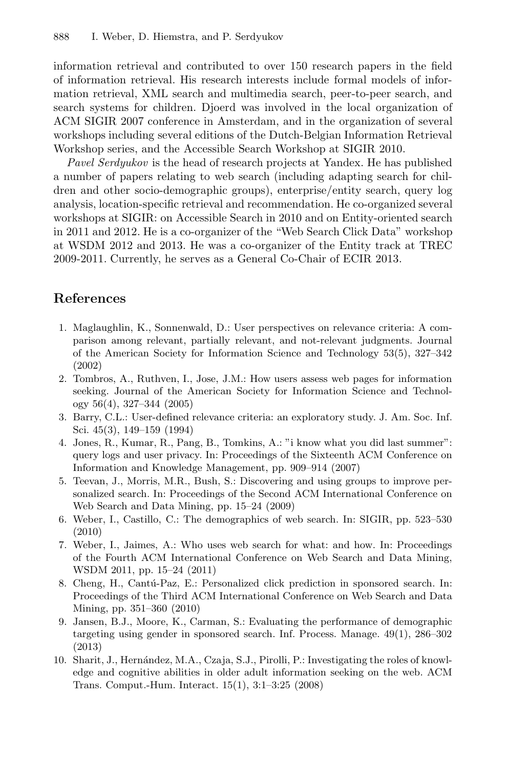information retrieval and contributed to over 150 research papers in the field of information retrieval. His research interests include formal models of information retrieval, XML search and multimedia search, peer-to-peer search, and search systems for children. Djoerd was involved in the local organization of ACM SIGIR 2007 conference in Amsterdam, and in the organization of several workshops including several editions of the Dutch-Belgian Information Retrieval Workshop series, and the Accessible Search Workshop at SIGIR 2010.

*Pavel Serdyukov* is the head of research projects at Yandex. He has published a number of papers relating to web search (including adapting search for children and other socio-demographic groups), enterprise/entity search, query log analysis, location-specific retrieval and recommendation. He co-organized several workshops at SIGIR: on Accessible Search in 2010 and on Entity-oriented search in 2011 and 2012. He is a co-organizer of the "Web Search Click Data" workshop at WSDM 2012 and 2013. He was a co-organizer of the Entity track at TREC 2009-2011. Currently, he serves as a General Co-Chair of ECIR 2013.

### **References**

- <span id="page-2-0"></span>1. Maglaughlin, K., Sonnenwald, D.: User perspectives on relevance criteria: A comparison among relevant, partially relevant, and not-relevant judgments. Journal of the American Society for Information Science and Technology 53(5), 327–342 (2002)
- 2. Tombros, A., Ruthven, I., Jose, J.M.: How users assess web pages for information seeking. Journal of the American Society for Information Science and Technology 56(4), 327–344 (2005)
- 3. Barry, C.L.: User-defined relevance criteria: an exploratory study. J. Am. Soc. Inf. Sci. 45(3), 149–159 (1994)
- <span id="page-2-1"></span>4. Jones, R., Kumar, R., Pang, B., Tomkins, A.: "i know what you did last summer": query logs and user privacy. In: Proceedings of the Sixteenth ACM Conference on Information and Knowledge Management, pp. 909–914 (2007)
- <span id="page-2-2"></span>5. Teevan, J., Morris, M.R., Bush, S.: Discovering and using groups to improve personalized search. In: Proceedings of the Second ACM International Conference on Web Search and Data Mining, pp. 15–24 (2009)
- <span id="page-2-3"></span>6. Weber, I., Castillo, C.: The demographics of web search. In: SIGIR, pp. 523–530 (2010)
- <span id="page-2-4"></span>7. Weber, I., Jaimes, A.: Who uses web search for what: and how. In: Proceedings of the Fourth ACM International Conference on Web Search and Data Mining, WSDM 2011, pp. 15–24 (2011)
- 8. Cheng, H., Cantú-Paz, E.: Personalized click prediction in sponsored search. In: Proceedings of the Third ACM International Conference on Web Search and Data Mining, pp. 351–360 (2010)
- 9. Jansen, B.J., Moore, K., Carman, S.: Evaluating the performance of demographic targeting using gender in sponsored search. Inf. Process. Manage. 49(1), 286–302 (2013)
- 10. Sharit, J., Hernández, M.A., Czaja, S.J., Pirolli, P.: Investigating the roles of knowledge and cognitive abilities in older adult information seeking on the web. ACM Trans. Comput.-Hum. Interact. 15(1), 3:1–3:25 (2008)